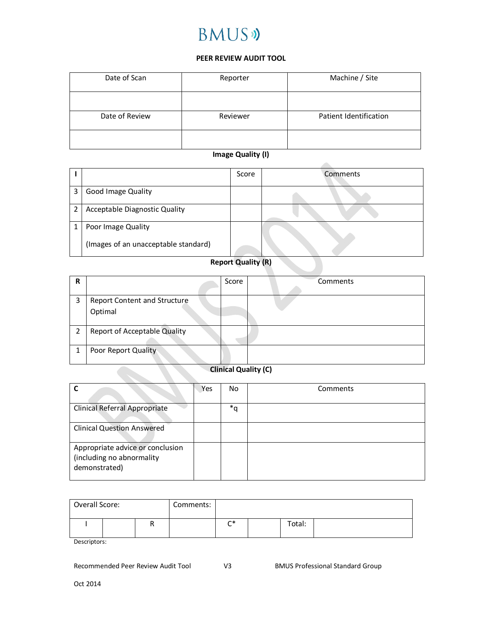# **BMUS**

#### **PEER REVIEW AUDIT TOOL**

| Date of Scan   | Reporter | Machine / Site         |  |
|----------------|----------|------------------------|--|
|                |          |                        |  |
| Date of Review | Reviewer | Patient Identification |  |
|                |          |                        |  |

### **Image Quality (I)**

|   |                                      | Score | Comments |
|---|--------------------------------------|-------|----------|
| 3 | <b>Good Image Quality</b>            |       |          |
| 2 | Acceptable Diagnostic Quality        |       |          |
|   | Poor Image Quality                   |       |          |
|   | (Images of an unacceptable standard) |       |          |

## **Report Quality (R)**

| R              |                                         | Score | Comments |
|----------------|-----------------------------------------|-------|----------|
| 3              | Report Content and Structure<br>Optimal |       |          |
| $\overline{2}$ | <b>Report of Acceptable Quality</b>     |       |          |
|                | Poor Report Quality                     |       |          |

## **Clinical Quality (C)**

|                                                                                | Yes | No | Comments |
|--------------------------------------------------------------------------------|-----|----|----------|
| Clinical Referral Appropriate                                                  |     | *q |          |
| <b>Clinical Question Answered</b>                                              |     |    |          |
| Appropriate advice or conclusion<br>(including no abnormality<br>demonstrated) |     |    |          |

| Overall Score: |  | Comments: |         |        |  |
|----------------|--|-----------|---------|--------|--|
|                |  |           | r*<br>∽ | Total: |  |

Descriptors:

Recommended Peer Review Audit Tool V3 BMUS Professional Standard Group

**Contract Contract Contract**